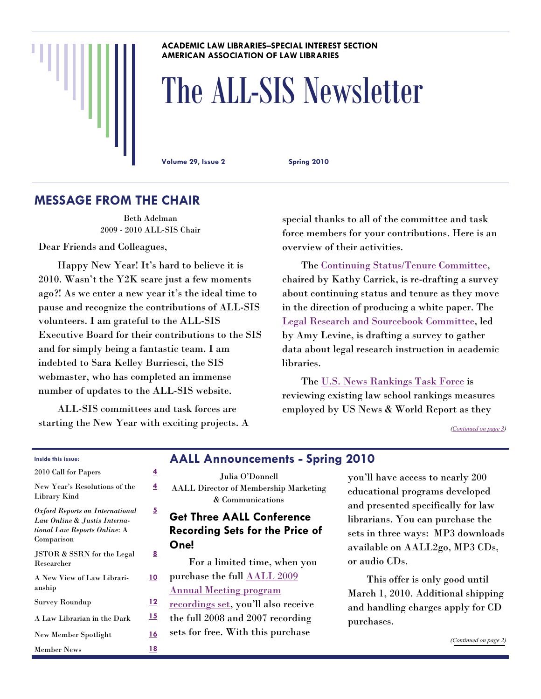#### **ACADEMIC LAW LIBRARIES–SPECIAL INTEREST SECTION AMERICAN ASSOCIATION OF LAW LIBRARIES**

# The ALL-SIS Newsletter

Volume 29, Issue 2 Spring 2010

# **MESSAGE FROM THE CHAIR**

Beth Adelman 2009 - 2010 ALL-SIS Chair

Dear Friends and Colleagues,

 Happy New Year! It's hard to believe it is 2010. Wasn't the Y2K scare just a few moments ago?! As we enter a new year it's the ideal time to pause and recognize the contributions of ALL-SIS volunteers. I am grateful to the ALL-SIS Executive Board for their contributions to the SIS and for simply being a fantastic team. I am indebted to Sara Kelley Burriesci, the SIS webmaster, who has completed an immense number of updates to the ALL-SIS website.

 ALL-SIS committees and task forces are starting the New Year with exciting projects. A

**[4](#page-3-0)**

**[5](#page-4-0)**

**[8](#page-7-0)**

**[10](#page-9-0)**

special thanks to all of the committee and task force members for your contributions. Here is an overview of their activities.

 The [Continuing Status/Tenure Committee,](http://www.aallnet.org/sis/allsis/directories/index.asp#cst) chaired by Kathy Carrick, is re-drafting a survey about continuing status and tenure as they move in the direction of producing a white paper. The [Legal Research and Sourcebook Committee](http://www.aallnet.org/sis/allsis/directories/index.asp#research), led by Amy Levine, is drafting a survey to gather data about legal research instruction in academic libraries.

 The [U.S. News Rankings Task Force](http://www.aallnet.org/sis/allsis/directories/index.asp#usnews) is reviewing existing law school rankings measures employed by US News & World Report as they

*([Continued on page 3\)](#page-2-0)* 

| Inside this issue:                                                                                            |            |
|---------------------------------------------------------------------------------------------------------------|------------|
| 2010 Call for Papers                                                                                          | 4          |
| New Year's Resolutions of the<br>Library Kind                                                                 | 4          |
| Oxford Reports on International<br>Law Online & Justis Interna-<br>tional Law Reports Online: A<br>Comparison | <u>5</u>   |
| JSTOR & SSRN for the Legal<br>Researcher                                                                      | <u>8</u>   |
| A New View of Law Librari-<br>anship                                                                          | 10         |
| <b>Survey Roundup</b>                                                                                         | 12         |
| A Law Librarian in the Dark                                                                                   | <u> 15</u> |
| New Member Spotlight                                                                                          | <u> 16</u> |
| <b>Member News</b>                                                                                            | <u> 18</u> |

# **AALL Announcements - Spring 2010**

Julia O'Donnell AALL Director of Membership Marketing & Communications

# **Get Three AALL Conference Recording Sets for the Price of One!**

 For a limited time, when you purchase the full [AALL 2009](http://www.softconference.com/aall/slist.asp?C=2794)  [Annual Meeting program](http://www.softconference.com/aall/slist.asp?C=2794)  [recordings set,](http://www.softconference.com/aall/slist.asp?C=2794) you'll also receive the full 2008 and 2007 recording sets for free. With this purchase

you'll have access to nearly 200 educational programs developed and presented specifically for law librarians. You can purchase the sets in three ways: MP3 downloads available on AALL2go, MP3 CDs, or audio CDs.

 This offer is only good until March 1, 2010. Additional shipping and handling charges apply for CD purchases.

*([Continued on page 2\)](#page-1-0)*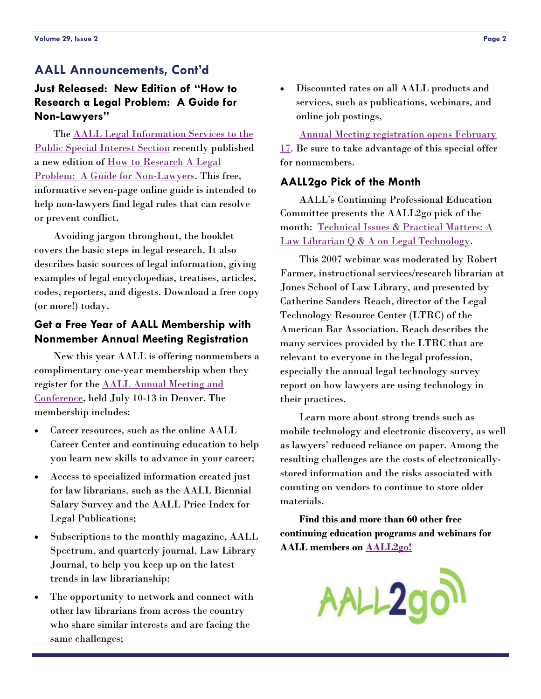# <span id="page-1-0"></span>**AALL Announcements, Cont'd**

#### **Just Released: New Edition of "How to Research a Legal Problem: A Guide for Non-Lawyers"**

 The [AALL Legal Information Services to the](http://www.aallnet.org/sis/lisp/)  [Public Special Interest Section](http://www.aallnet.org/sis/lisp/) recently published a new edition of [How to Research A Legal](http://www.aallnet.org/products/HowToResearchLegalProblem.pdf)  [Problem: A Guide for Non-Lawyers](http://www.aallnet.org/products/HowToResearchLegalProblem.pdf). This free, informative seven-page online guide is intended to help non-lawyers find legal rules that can resolve or prevent conflict.

 Avoiding jargon throughout, the booklet covers the basic steps in legal research. It also describes basic sources of legal information, giving examples of legal encyclopedias, treatises, articles, codes, reporters, and digests. Download a free copy (or more!) today.

#### **Get a Free Year of AALL Membership with Nonmember Annual Meeting Registration**

 New this year AALL is offering nonmembers a complimentary one-year membership when they register for the [AALL Annual Meeting and](http://www.aallnet.org/events/)  [Conference,](http://www.aallnet.org/events/) held July 10-13 in Denver. The membership includes:

- Career resources, such as the online AALL Career Center and continuing education to help you learn new skills to advance in your career;
- Access to specialized information created just for law librarians, such as the AALL Biennial Salary Survey and the AALL Price Index for Legal Publications;
- Subscriptions to the monthly magazine, AALL Spectrum, and quarterly journal, Law Library Journal, to help you keep up on the latest trends in law librarianship;
- The opportunity to network and connect with other law librarians from across the country who share similar interests and are facing the same challenges;

 Discounted rates on all AALL products and services, such as publications, webinars, and online job postings,

[Annual Meeting registration opens February](http://www.aallnet.org/events/10_registration.asp)  [17](http://www.aallnet.org/events/10_registration.asp). Be sure to take advantage of this special offer for nonmembers.

#### **AALL2go Pick of the Month**

 AALL's Continuing Professional Education Committee presents the AALL2go pick of the month: [Technical Issues & Practical Matters: A](http://www.softconference.com/aall/sessionDetail.asp?SID=169276)  [Law Librarian Q & A on Legal Technology](http://www.softconference.com/aall/sessionDetail.asp?SID=169276).

 This 2007 webinar was moderated by Robert Farmer, instructional services/research librarian at Jones School of Law Library, and presented by Catherine Sanders Reach, director of the Legal Technology Resource Center (LTRC) of the American Bar Association. Reach describes the many services provided by the LTRC that are relevant to everyone in the legal profession, especially the annual legal technology survey report on how lawyers are using technology in their practices.

 Learn more about strong trends such as mobile technology and electronic discovery, as well as lawyers' reduced reliance on paper. Among the resulting challenges are the costs of electronicallystored information and the risks associated with counting on vendors to continue to store older materials.

**Find this and more than 60 other free continuing education programs and webinars for AALL members on [AALL2go!](http://www.softconference.com/aall/default.asp)**

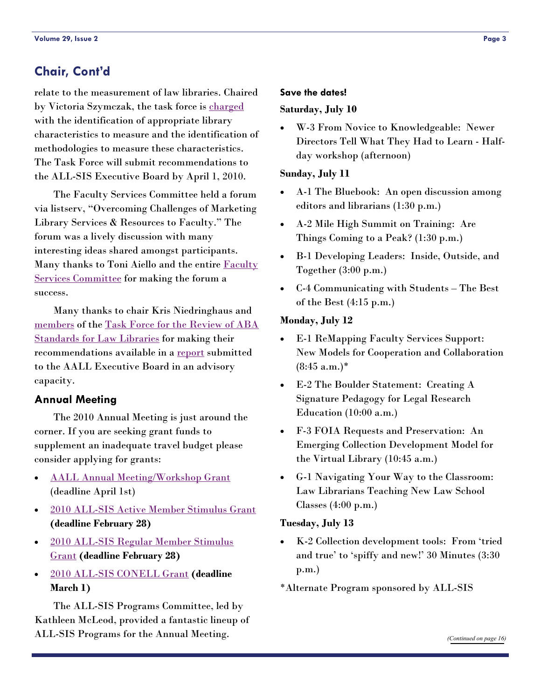# <span id="page-2-0"></span>**Chair, Cont'd**

relate to the measurement of law libraries. Chaired by Victoria Szymczak, the task force is [charged](http://www.aallnet.org/sis/allsis/committees/charges/index.asp#usnews) with the identification of appropriate library characteristics to measure and the identification of methodologies to measure these characteristics. The Task Force will submit recommendations to the ALL-SIS Executive Board by April 1, 2010.

 The Faculty Services Committee held a forum via listserv, "Overcoming Challenges of Marketing Library Services & Resources to Faculty." The forum was a lively discussion with many interesting ideas shared amongst participants. Many thanks to Toni Aiello and the entire Faculty [Services Committee](http://www.aallnet.org/sis/allsis/directories/index.asp#faculty) for making the forum a success.

 Many thanks to chair Kris Niedringhaus and [members](http://www.aallnet.org/sis/allsis/directories/index.asp#abastds) of the [Task Force for the Review of ABA](http://www.aallnet.org/sis/allsis/committees/charges/index.asp#abastds)  **[Standards for Law Libraries](http://www.aallnet.org/sis/allsis/committees/charges/index.asp#abastds) for making their** recommendations available in a [report](http://www.aallnet.org/sis/allsis/committees/abastandardstaskforce/allsisabastandardstaskforcefinal.pdf) submitted to the AALL Executive Board in an advisory capacity.

#### **Annual Meeting**

 The 2010 Annual Meeting is just around the corner. If you are seeking grant funds to supplement an inadequate travel budget please consider applying for grants:

- [AALL Annual Meeting/Workshop Grant](http://www.aallnet.org/committee/grants/grant_application.asp) (deadline April 1st)
- [2010 ALL-SIS Active Member Stimulus Grant](http://www.aallnet.org/sis/allsis/awards/criteria.asp#active) **(deadline February 28)**
- [2010 ALL-SIS Regular Member Stimulus](http://www.aallnet.org/sis/allsis/awards/criteria.asp#regular)  [Grant](http://www.aallnet.org/sis/allsis/awards/criteria.asp#regular) **(deadline February 28)**
- [2010 ALL-SIS CONELL Grant](http://www.aallnet.org/sis/allsis/awards/criteria.asp#CONELL) **(deadline March 1)**

 The ALL-SIS Programs Committee, led by Kathleen McLeod, provided a fantastic lineup of ALL-SIS Programs for the Annual Meeting.

#### **Save the dates!**

#### **Saturday, July 10**

 W-3 From Novice to Knowledgeable: Newer Directors Tell What They Had to Learn - Halfday workshop (afternoon)

#### **Sunday, July 11**

- A-1 The Bluebook: An open discussion among editors and librarians (1:30 p.m.)
- A-2 Mile High Summit on Training: Are Things Coming to a Peak? (1:30 p.m.)
- B-1 Developing Leaders: Inside, Outside, and Together (3:00 p.m.)
- C-4 Communicating with Students The Best of the Best (4:15 p.m.)

#### **Monday, July 12**

- E-1 ReMapping Faculty Services Support: New Models for Cooperation and Collaboration  $(8:45 a.m.)*$
- E-2 The Boulder Statement: Creating A Signature Pedagogy for Legal Research Education (10:00 a.m.)
- F-3 FOIA Requests and Preservation: An Emerging Collection Development Model for the Virtual Library (10:45 a.m.)
- G-1 Navigating Your Way to the Classroom: Law Librarians Teaching New Law School Classes (4:00 p.m.)

#### **Tuesday, July 13**

- K-2 Collection development tools: From 'tried and true' to 'spiffy and new!' 30 Minutes (3:30 p.m.)
- \*Alternate Program sponsored by ALL-SIS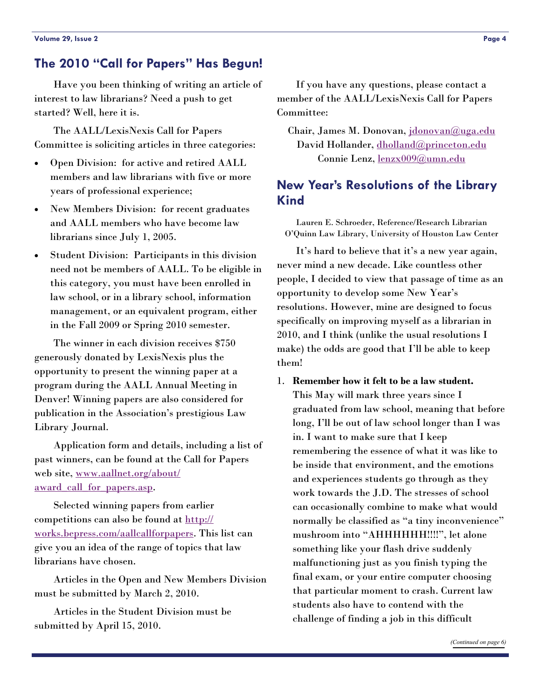#### <span id="page-3-0"></span>**The 2010 "Call for Papers" Has Begun!**

 Have you been thinking of writing an article of interest to law librarians? Need a push to get started? Well, here it is.

 The AALL/LexisNexis Call for Papers Committee is soliciting articles in three categories:

- Open Division: for active and retired AALL members and law librarians with five or more years of professional experience;
- New Members Division: for recent graduates and AALL members who have become law librarians since July 1, 2005.
- Student Division: Participants in this division need not be members of AALL. To be eligible in this category, you must have been enrolled in law school, or in a library school, information management, or an equivalent program, either in the Fall 2009 or Spring 2010 semester.

 The winner in each division receives \$750 generously donated by LexisNexis plus the opportunity to present the winning paper at a program during the AALL Annual Meeting in Denver! Winning papers are also considered for publication in the Association's prestigious Law Library Journal.

 Application form and details, including a list of past winners, can be found at the Call for Papers web site, [www.aallnet.org/about/](http://www.aallnet.org/about/award_call_for_papers.asp) [award\\_call\\_for\\_papers.asp.](http://www.aallnet.org/about/award_call_for_papers.asp)

 Selected winning papers from earlier competitions can also be found at [http://](http://works.bepress.com/aallcallforpapers) [works.bepress.com/aallcallforpapers](http://works.bepress.com/aallcallforpapers). This list can give you an idea of the range of topics that law librarians have chosen.

 Articles in the Open and New Members Division must be submitted by March 2, 2010.

 Articles in the Student Division must be submitted by April 15, 2010.

 If you have any questions, please contact a member of the AALL/LexisNexis Call for Papers Committee:

Chair, James M. Donovan, [jdonovan@uga.edu](mailto:jdonovan@uga.edu) David Hollander, [dholland@princeton.edu](mailto:dholland@princeton.edu) Connie Lenz, [lenzx009@umn.edu](mailto:lenzx009@umn.edu)

# **New Year's Resolutions of the Library Kind**

Lauren E. Schroeder, Reference/Research Librarian O'Quinn Law Library, University of Houston Law Center

 It's hard to believe that it's a new year again, never mind a new decade. Like countless other people, I decided to view that passage of time as an opportunity to develop some New Year's resolutions. However, mine are designed to focus specifically on improving myself as a librarian in 2010, and I think (unlike the usual resolutions I make) the odds are good that I'll be able to keep them!

1. **Remember how it felt to be a law student.** This May will mark three years since I graduated from law school, meaning that before long, I'll be out of law school longer than I was in. I want to make sure that I keep remembering the essence of what it was like to be inside that environment, and the emotions and experiences students go through as they work towards the J.D. The stresses of school can occasionally combine to make what would normally be classified as "a tiny inconvenience" mushroom into "AHHHHHH!!!!", let alone something like your flash drive suddenly malfunctioning just as you finish typing the final exam, or your entire computer choosing that particular moment to crash. Current law students also have to contend with the challenge of finding a job in this difficult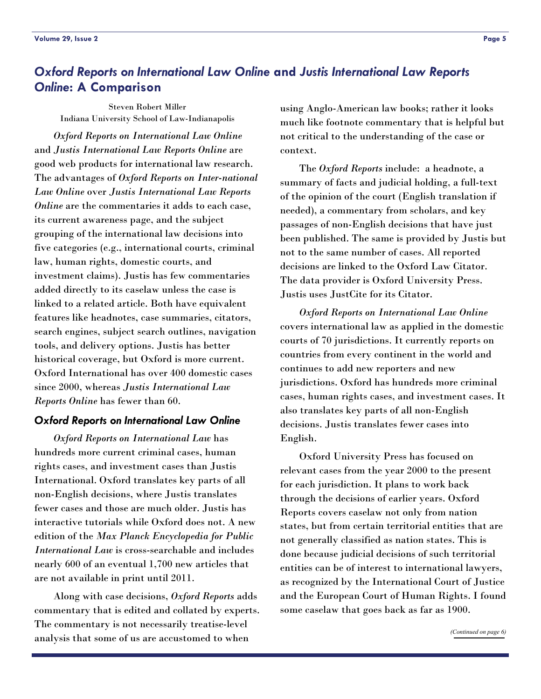# <span id="page-4-0"></span>*Oxford Reports on International Law Online* **and** *Justis International Law Reports Online***: A Comparison**

Steven Robert Miller Indiana University School of Law-Indianapolis

*Oxford Reports on International Law Online* and *Justis International Law Reports Online* are good web products for international law research. The advantages of *Oxford Reports on Inter-national Law Online* over *Justis International Law Reports Online* are the commentaries it adds to each case, its current awareness page, and the subject grouping of the international law decisions into five categories (e.g., international courts, criminal law, human rights, domestic courts, and investment claims). Justis has few commentaries added directly to its caselaw unless the case is linked to a related article. Both have equivalent features like headnotes, case summaries, citators, search engines, subject search outlines, navigation tools, and delivery options. Justis has better historical coverage, but Oxford is more current. Oxford International has over 400 domestic cases since 2000, whereas *Justis International Law Reports Online* has fewer than 60.

#### *Oxford Reports on International Law Online*

*Oxford Reports on International Law* has hundreds more current criminal cases, human rights cases, and investment cases than Justis International. Oxford translates key parts of all non-English decisions, where Justis translates fewer cases and those are much older. Justis has interactive tutorials while Oxford does not. A new edition of the *Max Planck Encyclopedia for Public International Law* is cross-searchable and includes nearly 600 of an eventual 1,700 new articles that are not available in print until 2011.

 Along with case decisions, *Oxford Reports* adds commentary that is edited and collated by experts. The commentary is not necessarily treatise-level analysis that some of us are accustomed to when

using Anglo-American law books; rather it looks much like footnote commentary that is helpful but not critical to the understanding of the case or context.

 The *Oxford Reports* include: a headnote, a summary of facts and judicial holding, a full-text of the opinion of the court (English translation if needed), a commentary from scholars, and key passages of non-English decisions that have just been published. The same is provided by Justis but not to the same number of cases. All reported decisions are linked to the Oxford Law Citator. The data provider is Oxford University Press. Justis uses JustCite for its Citator.

*Oxford Reports on International Law Online* covers international law as applied in the domestic courts of 70 jurisdictions. It currently reports on countries from every continent in the world and continues to add new reporters and new jurisdictions. Oxford has hundreds more criminal cases, human rights cases, and investment cases. It also translates key parts of all non-English decisions. Justis translates fewer cases into English.

 Oxford University Press has focused on relevant cases from the year 2000 to the present for each jurisdiction. It plans to work back through the decisions of earlier years. Oxford Reports covers caselaw not only from nation states, but from certain territorial entities that are not generally classified as nation states. This is done because judicial decisions of such territorial entities can be of interest to international lawyers, as recognized by the International Court of Justice and the European Court of Human Rights. I found some caselaw that goes back as far as 1900.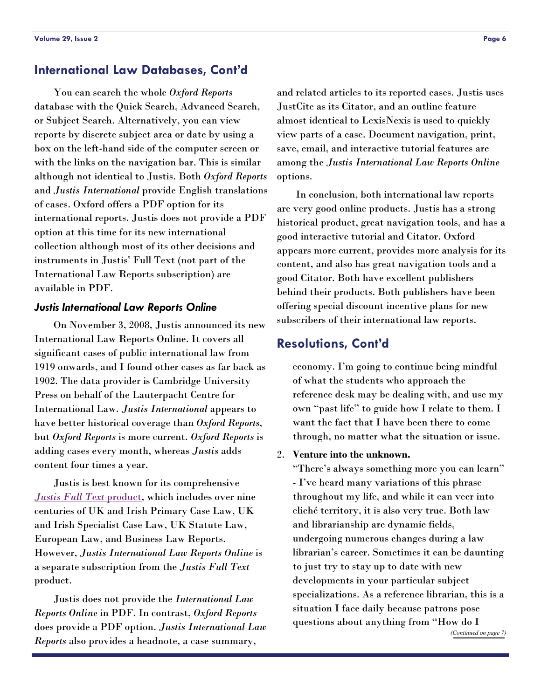#### <span id="page-5-0"></span>**International Law Databases, Cont'd**

 You can search the whole *Oxford Reports* database with the Quick Search, Advanced Search, or Subject Search. Alternatively, you can view reports by discrete subject area or date by using a box on the left-hand side of the computer screen or with the links on the navigation bar. This is similar although not identical to Justis. Both *Oxford Reports* and *Justis International* provide English translations of cases. Oxford offers a PDF option for its international reports. Justis does not provide a PDF option at this time for its new international collection although most of its other decisions and instruments in Justis' Full Text (not part of the International Law Reports subscription) are available in PDF.

#### *Justis International Law Reports Online*

 On November 3, 2008, Justis announced its new International Law Reports Online. It covers all significant cases of public international law from 1919 onwards, and I found other cases as far back as 1902. The data provider is Cambridge University Press on behalf of the Lauterpacht Centre for International Law. *Justis International* appears to have better historical coverage than *Oxford Reports*, but *Oxford Reports* is more current. *Oxford Reports* is adding cases every month, whereas *Justis* adds content four times a year.

 Justis is best known for its comprehensive *[Justis Full Text](http://www.justis.com/titles/titles.html)* product, which includes over nine centuries of UK and Irish Primary Case Law, UK and Irish Specialist Case Law, UK Statute Law, European Law, and Business Law Reports. However, *Justis International Law Reports Online* is a separate subscription from the *Justis Full Text* product.

 Justis does not provide the *International Law Reports Online* in PDF. In contrast, *Oxford Reports* does provide a PDF option. *Justis International Law Reports* also provides a headnote, a case summary,

and related articles to its reported cases. Justis uses JustCite as its Citator, and an outline feature almost identical to LexisNexis is used to quickly view parts of a case. Document navigation, print, save, email, and interactive tutorial features are among the *Justis International Law Reports Online* options.

 In conclusion, both international law reports are very good online products. Justis has a strong historical product, great navigation tools, and has a good interactive tutorial and Citator. Oxford appears more current, provides more analysis for its content, and also has great navigation tools and a good Citator. Both have excellent publishers behind their products. Both publishers have been offering special discount incentive plans for new subscribers of their international law reports.

#### **Resolutions, Cont'd**

economy. I'm going to continue being mindful of what the students who approach the reference desk may be dealing with, and use my own "past life" to guide how I relate to them. I want the fact that I have been there to come through, no matter what the situation or issue.

2. **Venture into the unknown.**

"There's always something more you can learn" - I've heard many variations of this phrase throughout my life, and while it can veer into cliché territory, it is also very true. Both law and librarianship are dynamic fields, undergoing numerous changes during a law librarian's career. Sometimes it can be daunting to just try to stay up to date with new developments in your particular subject specializations. As a reference librarian, this is a situation I face daily because patrons pose questions about anything from "How do I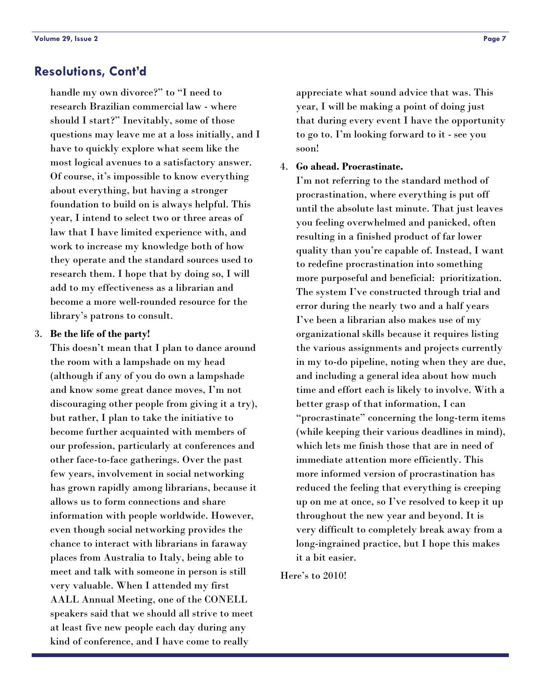#### <span id="page-6-0"></span>**Resolutions, Cont'd**

handle my own divorce?" to "I need to research Brazilian commercial law - where should I start?" Inevitably, some of those questions may leave me at a loss initially, and I have to quickly explore what seem like the most logical avenues to a satisfactory answer. Of course, it's impossible to know everything about everything, but having a stronger foundation to build on is always helpful. This year, I intend to select two or three areas of law that I have limited experience with, and work to increase my knowledge both of how they operate and the standard sources used to research them. I hope that by doing so, I will add to my effectiveness as a librarian and become a more well-rounded resource for the library's patrons to consult.

#### 3. **Be the life of the party!**

This doesn't mean that I plan to dance around the room with a lampshade on my head (although if any of you do own a lampshade and know some great dance moves, I'm not discouraging other people from giving it a try), but rather, I plan to take the initiative to become further acquainted with members of our profession, particularly at conferences and other face-to-face gatherings. Over the past few years, involvement in social networking has grown rapidly among librarians, because it allows us to form connections and share information with people worldwide. However, even though social networking provides the chance to interact with librarians in faraway places from Australia to Italy, being able to meet and talk with someone in person is still very valuable. When I attended my first AALL Annual Meeting, one of the CONELL speakers said that we should all strive to meet at least five new people each day during any kind of conference, and I have come to really

appreciate what sound advice that was. This year, I will be making a point of doing just that during every event I have the opportunity to go to. I'm looking forward to it - see you soon!

#### 4. **Go ahead. Procrastinate.**

I'm not referring to the standard method of procrastination, where everything is put off until the absolute last minute. That just leaves you feeling overwhelmed and panicked, often resulting in a finished product of far lower quality than you're capable of. Instead, I want to redefine procrastination into something more purposeful and beneficial: prioritization. The system I've constructed through trial and error during the nearly two and a half years I've been a librarian also makes use of my organizational skills because it requires listing the various assignments and projects currently in my to-do pipeline, noting when they are due, and including a general idea about how much time and effort each is likely to involve. With a better grasp of that information, I can "procrastinate" concerning the long-term items (while keeping their various deadlines in mind), which lets me finish those that are in need of immediate attention more efficiently. This more informed version of procrastination has reduced the feeling that everything is creeping up on me at once, so I've resolved to keep it up throughout the new year and beyond. It is very difficult to completely break away from a long-ingrained practice, but I hope this makes it a bit easier.

Here's to 2010!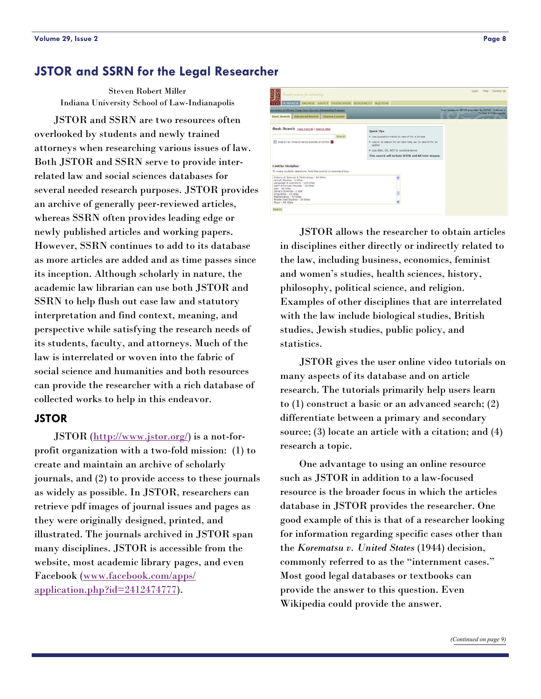# <span id="page-7-0"></span>**JSTOR and SSRN for the Legal Researcher**

Steven Robert Miller Indiana University School of Law-Indianapolis

 JSTOR and SSRN are two resources often overlooked by students and newly trained attorneys when researching various issues of law. Both JSTOR and SSRN serve to provide interrelated law and social sciences databases for several needed research purposes. JSTOR provides an archive of generally peer-reviewed articles, whereas SSRN often provides leading edge or newly published articles and working papers. However, SSRN continues to add to its database as more articles are added and as time passes since its inception. Although scholarly in nature, the academic law librarian can use both JSTOR and SSRN to help flush out case law and statutory interpretation and find context, meaning, and perspective while satisfying the research needs of its students, faculty, and attorneys. Much of the law is interrelated or woven into the fabric of social science and humanities and both resources can provide the researcher with a rich database of collected works to help in this endeavor.

#### **JSTOR**

JSTOR (<http://www.jstor.org/>) is a not-forprofit organization with a two-fold mission: (1) to create and maintain an archive of scholarly journals, and (2) to provide access to these journals as widely as possible. In JSTOR, researchers can retrieve pdf images of journal issues and pages as they were originally designed, printed, and illustrated. The journals archived in JSTOR span many disciplines. JSTOR is accessible from the website, most academic library pages, and even Facebook ([www.facebook.com/apps/](http://www.facebook.com/apps/application.php?id=2412474777) [application.php?id=2412474777\)](http://www.facebook.com/apps/application.php?id=2412474777).



 JSTOR allows the researcher to obtain articles in disciplines either directly or indirectly related to the law, including business, economics, feminist and women's studies, health sciences, history, philosophy, political science, and religion. Examples of other disciplines that are interrelated with the law include biological studies, British studies, Jewish studies, public policy, and statistics.

 JSTOR gives the user online video tutorials on many aspects of its database and on article research. The tutorials primarily help users learn to (1) construct a basic or an advanced search; (2) differentiate between a primary and secondary source; (3) locate an article with a citation; and (4) research a topic.

 One advantage to using an online resource such as JSTOR in addition to a law-focused resource is the broader focus in which the articles database in JSTOR provides the researcher. One good example of this is that of a researcher looking for information regarding specific cases other than the *Korematsu v. United States* (1944) decision, commonly referred to as the "internment cases." Most good legal databases or textbooks can provide the answer to this question. Even Wikipedia could provide the answer.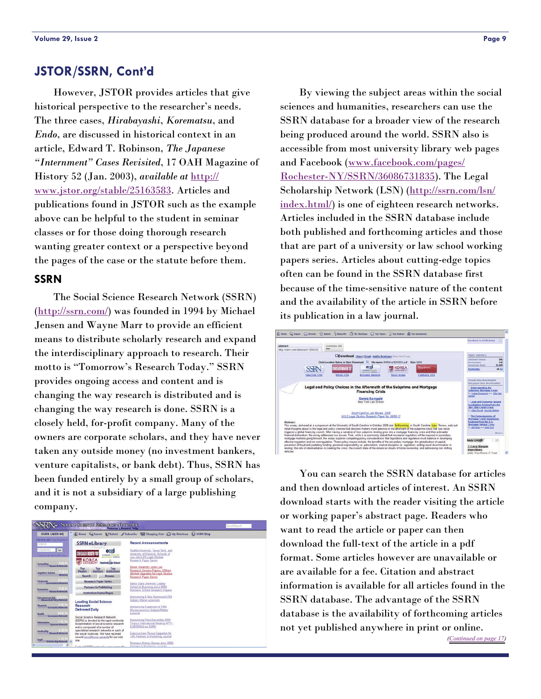#### <span id="page-8-0"></span>**JSTOR/SSRN, Cont'd**

 However, JSTOR provides articles that give historical perspective to the researcher's needs. The three cases, *Hirabayashi*, *Korematsu*, and *Endo*, are discussed in historical context in an article, Edward T. Robinson, *The Japanese "Internment" Cases Revisited*, 17 OAH Magazine of History 52 (Jan. 2003), *available at* [http://](http://www.jstor.org/stable/25163583) [www.jstor.org/stable/25163583.](http://www.jstor.org/stable/25163583) Articles and publications found in JSTOR such as the example above can be helpful to the student in seminar classes or for those doing thorough research wanting greater context or a perspective beyond the pages of the case or the statute before them.

#### **SSRN**

 The Social Science Research Network (SSRN) (<http://ssrn.com/>) was founded in 1994 by Michael Jensen and Wayne Marr to provide an efficient means to distribute scholarly research and expand the interdisciplinary approach to research. Their motto is "Tomorrow's Research Today." SSRN provides ongoing access and content and is changing the way research is distributed and is changing the way research is done. SSRN is a closely held, for-profit company. Many of the owners are corporate scholars, and they have never taken any outside money (no investment bankers, venture capitalists, or bank debt). Thus, SSRN has been funded entirely by a small group of scholars, and it is not a subsidiary of a large publishing company.



 By viewing the subject areas within the social sciences and humanities, researchers can use the SSRN database for a broader view of the research being produced around the world. SSRN also is accessible from most university library web pages and Facebook ([www.facebook.com/pages/](http://www.facebook.com/pages/Rochester-NY/SSRN/36086731835) [Rochester-NY/SSRN/36086731835\)](http://www.facebook.com/pages/Rochester-NY/SSRN/36086731835). The Legal Scholarship Network (LSN) ([http://ssrn.com/lsn/](http://ssrn.com/lsn/index.html/) [index.html/\)](http://ssrn.com/lsn/index.html/) is one of eighteen research networks. Articles included in the SSRN database include both published and forthcoming articles and those that are part of a university or law school working papers series. Articles about cutting-edge topics often can be found in the SSRN database first because of the time-sensitive nature of the content and the availability of the article in SSRN before its publication in a law journal.



 You can search the SSRN database for articles and then download articles of interest. An SSRN download starts with the reader visiting the article or working paper's abstract page. Readers who want to read the article or paper can then download the full-text of the article in a pdf format. Some articles however are unavailable or are available for a fee. Citation and abstract information is available for all articles found in the SSRN database. The advantage of the SSRN database is the availability of forthcoming articles not yet published anywhere in print or online. *([Continued on page 17\)](#page-16-0)*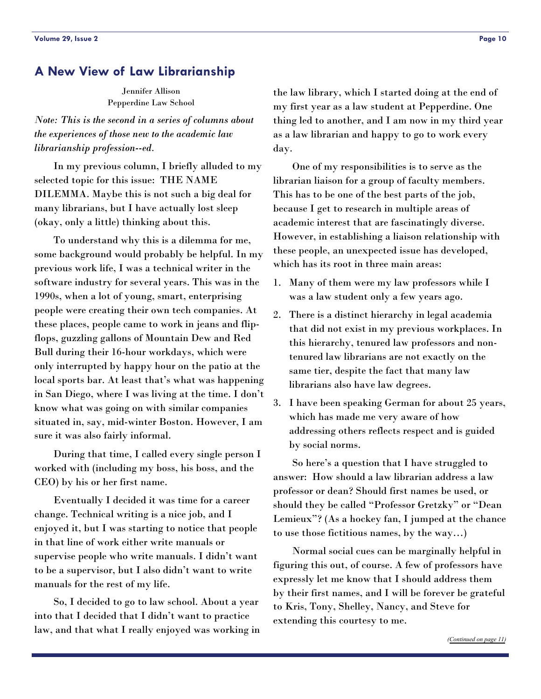# <span id="page-9-0"></span>**A New View of Law Librarianship**

Jennifer Allison Pepperdine Law School

*Note: This is the second in a series of columns about the experiences of those new to the academic law librarianship profession--ed.* 

 In my previous column, I briefly alluded to my selected topic for this issue: THE NAME DILEMMA. Maybe this is not such a big deal for many librarians, but I have actually lost sleep (okay, only a little) thinking about this.

 To understand why this is a dilemma for me, some background would probably be helpful. In my previous work life, I was a technical writer in the software industry for several years. This was in the 1990s, when a lot of young, smart, enterprising people were creating their own tech companies. At these places, people came to work in jeans and flipflops, guzzling gallons of Mountain Dew and Red Bull during their 16-hour workdays, which were only interrupted by happy hour on the patio at the local sports bar. At least that's what was happening in San Diego, where I was living at the time. I don't know what was going on with similar companies situated in, say, mid-winter Boston. However, I am sure it was also fairly informal.

 During that time, I called every single person I worked with (including my boss, his boss, and the CEO) by his or her first name.

 Eventually I decided it was time for a career change. Technical writing is a nice job, and I enjoyed it, but I was starting to notice that people in that line of work either write manuals or supervise people who write manuals. I didn't want to be a supervisor, but I also didn't want to write manuals for the rest of my life.

 So, I decided to go to law school. About a year into that I decided that I didn't want to practice law, and that what I really enjoyed was working in the law library, which I started doing at the end of my first year as a law student at Pepperdine. One thing led to another, and I am now in my third year as a law librarian and happy to go to work every day.

 One of my responsibilities is to serve as the librarian liaison for a group of faculty members. This has to be one of the best parts of the job, because I get to research in multiple areas of academic interest that are fascinatingly diverse. However, in establishing a liaison relationship with these people, an unexpected issue has developed, which has its root in three main areas:

- 1. Many of them were my law professors while I was a law student only a few years ago.
- 2. There is a distinct hierarchy in legal academia that did not exist in my previous workplaces. In this hierarchy, tenured law professors and nontenured law librarians are not exactly on the same tier, despite the fact that many law librarians also have law degrees.
- 3. I have been speaking German for about 25 years, which has made me very aware of how addressing others reflects respect and is guided by social norms.

 So here's a question that I have struggled to answer: How should a law librarian address a law professor or dean? Should first names be used, or should they be called "Professor Gretzky" or "Dean Lemieux"? (As a hockey fan, I jumped at the chance to use those fictitious names, by the way…)

 Normal social cues can be marginally helpful in figuring this out, of course. A few of professors have expressly let me know that I should address them by their first names, and I will be forever be grateful to Kris, Tony, Shelley, Nancy, and Steve for extending this courtesy to me.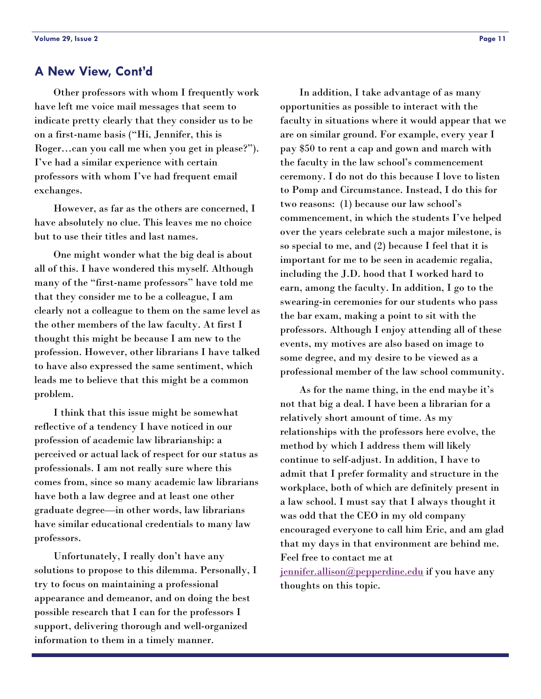#### <span id="page-10-0"></span>**A New View, Cont'd**

 Other professors with whom I frequently work have left me voice mail messages that seem to indicate pretty clearly that they consider us to be on a first-name basis ("Hi, Jennifer, this is Roger…can you call me when you get in please?"). I've had a similar experience with certain professors with whom I've had frequent email exchanges.

 However, as far as the others are concerned, I have absolutely no clue. This leaves me no choice but to use their titles and last names.

 One might wonder what the big deal is about all of this. I have wondered this myself. Although many of the "first-name professors" have told me that they consider me to be a colleague, I am clearly not a colleague to them on the same level as the other members of the law faculty. At first I thought this might be because I am new to the profession. However, other librarians I have talked to have also expressed the same sentiment, which leads me to believe that this might be a common problem.

 I think that this issue might be somewhat reflective of a tendency I have noticed in our profession of academic law librarianship: a perceived or actual lack of respect for our status as professionals. I am not really sure where this comes from, since so many academic law librarians have both a law degree and at least one other graduate degree—in other words, law librarians have similar educational credentials to many law professors.

 Unfortunately, I really don't have any solutions to propose to this dilemma. Personally, I try to focus on maintaining a professional appearance and demeanor, and on doing the best possible research that I can for the professors I support, delivering thorough and well-organized information to them in a timely manner.

 In addition, I take advantage of as many opportunities as possible to interact with the faculty in situations where it would appear that we are on similar ground. For example, every year I pay \$50 to rent a cap and gown and march with the faculty in the law school's commencement ceremony. I do not do this because I love to listen to Pomp and Circumstance. Instead, I do this for two reasons: (1) because our law school's commencement, in which the students I've helped over the years celebrate such a major milestone, is so special to me, and (2) because I feel that it is important for me to be seen in academic regalia, including the J.D. hood that I worked hard to earn, among the faculty. In addition, I go to the swearing-in ceremonies for our students who pass the bar exam, making a point to sit with the professors. Although I enjoy attending all of these events, my motives are also based on image to some degree, and my desire to be viewed as a professional member of the law school community.

 As for the name thing, in the end maybe it's not that big a deal. I have been a librarian for a relatively short amount of time. As my relationships with the professors here evolve, the method by which I address them will likely continue to self-adjust. In addition, I have to admit that I prefer formality and structure in the workplace, both of which are definitely present in a law school. I must say that I always thought it was odd that the CEO in my old company encouraged everyone to call him Eric, and am glad that my days in that environment are behind me. Feel free to contact me at [jennifer.allison@pepperdine.edu](mailto:jennifer.allison@pepperdine.edu) if you have any thoughts on this topic.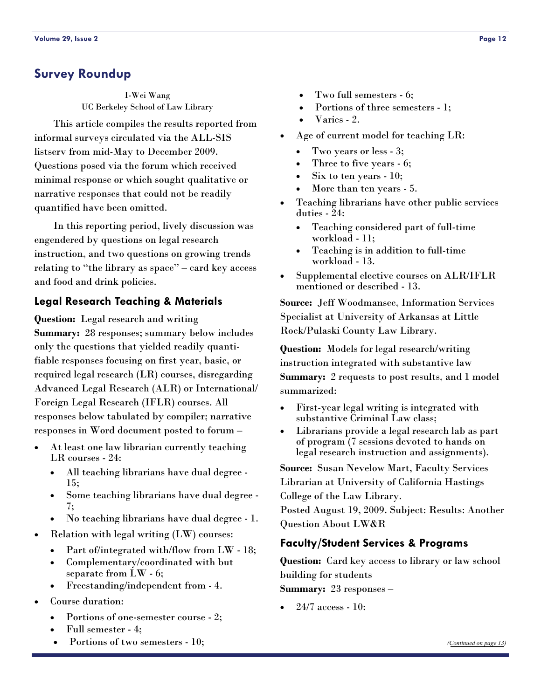#### <span id="page-11-0"></span>**Survey Roundup**

I-Wei Wang UC Berkeley School of Law Library

 This article compiles the results reported from informal surveys circulated via the ALL-SIS listserv from mid-May to December 2009. Questions posed via the forum which received minimal response or which sought qualitative or narrative responses that could not be readily quantified have been omitted.

 In this reporting period, lively discussion was engendered by questions on legal research instruction, and two questions on growing trends relating to "the library as space" – card key access and food and drink policies.

#### **Legal Research Teaching & Materials**

**Question:** Legal research and writing **Summary:** 28 responses; summary below includes only the questions that yielded readily quantifiable responses focusing on first year, basic, or required legal research (LR) courses, disregarding Advanced Legal Research (ALR) or International/ Foreign Legal Research (IFLR) courses. All responses below tabulated by compiler; narrative responses in Word document posted to forum –

- At least one law librarian currently teaching LR courses - 24:
	- All teaching librarians have dual degree 15;
	- Some teaching librarians have dual degree 7;
	- No teaching librarians have dual degree 1.
- Relation with legal writing  $(LW)$  courses:
	- Part of/integrated with/flow from LW 18;
	- Complementary/coordinated with but separate from LW - 6;
	- Freestanding/independent from 4.
- Course duration:
	- Portions of one-semester course 2;
	- Full semester 4;
	- Portions of two semesters 10;
- Two full semesters 6;
- Portions of three semesters 1;
- Varies 2.
- Age of current model for teaching LR:
	- Two years or less 3;
	- Three to five years 6;
	- Six to ten years 10;
	- More than ten years 5.
- Teaching librarians have other public services duties - 24:
	- Teaching considered part of full-time workload - 11;
	- Teaching is in addition to full-time workload - 13.
- Supplemental elective courses on ALR/IFLR mentioned or described - 13.

**Source:** Jeff Woodmansee, Information Services Specialist at University of Arkansas at Little Rock/Pulaski County Law Library.

**Question:** Models for legal research/writing instruction integrated with substantive law **Summary:** 2 requests to post results, and 1 model summarized:

- First-year legal writing is integrated with substantive Criminal Law class;
- Librarians provide a legal research lab as part of program (7 sessions devoted to hands on legal research instruction and assignments).

**Source:** Susan Nevelow Mart, Faculty Services Librarian at University of California Hastings College of the Law Library.

Posted August 19, 2009. Subject: Results: Another Question About LW&R

#### **Faculty/Student Services & Programs**

**Question:** Card key access to library or law school building for students **Summary:** 23 responses –

24/7 access - 10: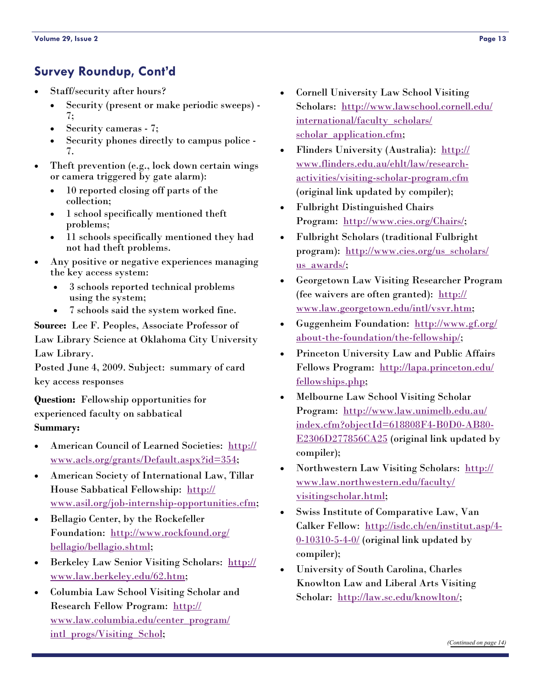# <span id="page-12-0"></span>**Survey Roundup, Cont'd**

- Staff/security after hours?
	- Security (present or make periodic sweeps) 7;
	- Security cameras 7;
	- Security phones directly to campus police 7.
- Theft prevention (e.g., lock down certain wings or camera triggered by gate alarm):
	- 10 reported closing off parts of the collection;
	- 1 school specifically mentioned theft problems;
	- 11 schools specifically mentioned they had not had theft problems.
- Any positive or negative experiences managing the key access system:
	- 3 schools reported technical problems using the system;
	- 7 schools said the system worked fine.

**Source:** Lee F. Peoples, Associate Professor of Law Library Science at Oklahoma City University Law Library.

Posted June 4, 2009. Subject: summary of card key access responses

**Question:** Fellowship opportunities for experienced faculty on sabbatical **Summary:** 

- American Council of Learned Societies: [http://](http://www.acls.org/grants/Default.aspx?id=354) [www.acls.org/grants/Default.aspx?id=354;](http://www.acls.org/grants/Default.aspx?id=354)
- American Society of International Law, Tillar House Sabbatical Fellowship: [http://](http://www.asil.org/job-internship-opportunities.cfm) [www.asil.org/job-internship-opportunities.cfm;](http://www.asil.org/job-internship-opportunities.cfm)
- Bellagio Center, by the Rockefeller Foundation: [http://www.rockfound.org/](http://www.rockfound.org/bellagio/bellagio.shtml) [bellagio/bellagio.shtml](http://www.rockfound.org/bellagio/bellagio.shtml);
- Berkeley Law Senior Visiting Scholars: [http://](http://www.law.berkeley.edu/62.htm) [www.law.berkeley.edu/62.htm](http://www.law.berkeley.edu/62.htm);
- Columbia Law School Visiting Scholar and Research Fellow Program: [http://](http://www.law.columbia.edu/center_program/intl_progs/Visiting_Schol) [www.law.columbia.edu/center\\_program/](http://www.law.columbia.edu/center_program/intl_progs/Visiting_Schol) [intl\\_progs/Visiting\\_Schol;](http://www.law.columbia.edu/center_program/intl_progs/Visiting_Schol)
- Cornell University Law School Visiting Scholars: [http://www.lawschool.cornell.edu/](http://www.lawschool.cornell.edu/international/faculty_scholars/scholar_application.cfm) [international/faculty\\_scholars/](http://www.lawschool.cornell.edu/international/faculty_scholars/scholar_application.cfm) [scholar\\_application.cfm](http://www.lawschool.cornell.edu/international/faculty_scholars/scholar_application.cfm);
- Flinders University (Australia): [http://](http://www.flinders.edu.au/ehlt/law/research-activities/visiting-scholar-program.cfm) [www.flinders.edu.au/ehlt/law/research](http://www.flinders.edu.au/ehlt/law/research-activities/visiting-scholar-program.cfm)[activities/visiting-scholar-program.cfm](http://www.flinders.edu.au/ehlt/law/research-activities/visiting-scholar-program.cfm) (original link updated by compiler);
- Fulbright Distinguished Chairs Program: [http://www.cies.org/Chairs/;](http://www.cies.org/Chairs/)
- Fulbright Scholars (traditional Fulbright program): [http://www.cies.org/us\\_scholars/](http://www.cies.org/us_scholars/us_awards/) [us\\_awards/;](http://www.cies.org/us_scholars/us_awards/)
- Georgetown Law Visiting Researcher Program (fee waivers are often granted):  $\frac{http://}{http://}$  $\frac{http://}{http://}$  $\frac{http://}{http://}$ [www.law.georgetown.edu/intl/vsvr.htm](http://www.law.georgetown.edu/intl/vsvr.htm);
- Guggenheim Foundation: [http://www.gf.org/](http://www.gf.org/about-the-foundation/the-fellowship/) [about-the-foundation/the-fellowship/](http://www.gf.org/about-the-foundation/the-fellowship/);
- Princeton University Law and Public Affairs Fellows Program: [http://lapa.princeton.edu/](http://lapa.princeton.edu/fellowships.php) [fellowships.php](http://lapa.princeton.edu/fellowships.php);
- Melbourne Law School Visiting Scholar Program: [http://www.law.unimelb.edu.au/](http://www.law.unimelb.edu.au/index.cfm?objectId=618808F4-B0D0-AB80-E2306D277856CA25) [index.cfm?objectId=618808F4-B0D0-AB80-](http://www.law.unimelb.edu.au/index.cfm?objectId=618808F4-B0D0-AB80-E2306D277856CA25) [E2306D277856CA25](http://www.law.unimelb.edu.au/index.cfm?objectId=618808F4-B0D0-AB80-E2306D277856CA25) (original link updated by compiler);
- Northwestern Law Visiting Scholars: [http://](http://www.law.northwestern.edu/faculty/visitingscholar.html) [www.law.northwestern.edu/faculty/](http://www.law.northwestern.edu/faculty/visitingscholar.html) [visitingscholar.html;](http://www.law.northwestern.edu/faculty/visitingscholar.html)
- Swiss Institute of Comparative Law, Van Calker Fellow: [http://isdc.ch/en/institut.asp/4-](http://isdc.ch/en/institut.asp/4-0-10310-5-4-0/)  $0-10310-5-4-0/$  (original link updated by compiler);
- University of South Carolina, Charles Knowlton Law and Liberal Arts Visiting Scholar: <http://law.sc.edu/knowlton/>;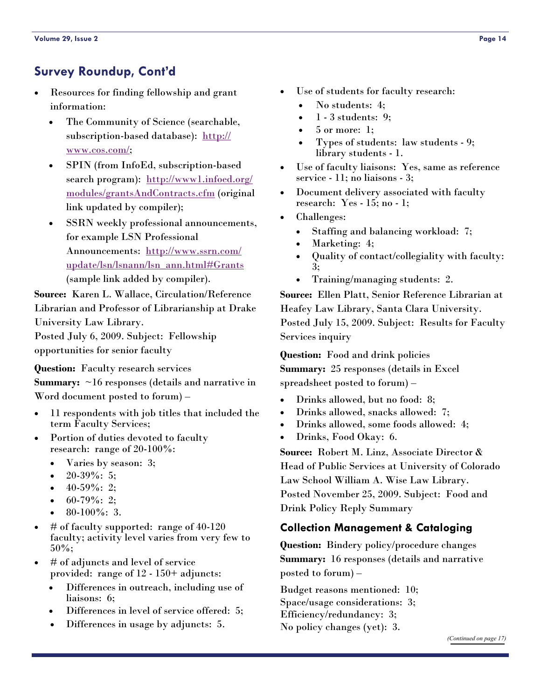# <span id="page-13-0"></span>**Survey Roundup, Cont'd**

- Resources for finding fellowship and grant information:
	- The Community of Science (searchable, subscription-based database): [http://](http://www.cos.com/) [www.cos.com/](http://www.cos.com/);
	- SPIN (from InfoEd, subscription-based search program): [http://www1.infoed.org/](http://www1.infoed.org/modules/grantsAndContracts.cfm) [modules/grantsAndContracts.cfm](http://www1.infoed.org/modules/grantsAndContracts.cfm) (original link updated by compiler);
	- SSRN weekly professional announcements, for example LSN Professional Announcements: [http://www.ssrn.com/](http://www.ssrn.com/update/lsn/lsnann/lsn_ann.html#Grants) [update/lsn/lsnann/lsn\\_ann.html#Grants](http://www.ssrn.com/update/lsn/lsnann/lsn_ann.html#Grants) (sample link added by compiler).

**Source:** Karen L. Wallace, Circulation/Reference Librarian and Professor of Librarianship at Drake University Law Library.

Posted July 6, 2009. Subject: Fellowship opportunities for senior faculty

**Question:** Faculty research services

**Summary:** ~16 responses (details and narrative in Word document posted to forum) –

- 11 respondents with job titles that included the term Faculty Services;
- Portion of duties devoted to faculty research: range of 20-100%:
	- Varies by season: 3;
	- $\bullet$  20-39%: 5;
	- $\bullet$  40-59%: 2:
	- $\bullet$  60-79%: 2;
	- 80-100%: 3.
- # of faculty supported: range of 40-120 faculty; activity level varies from very few to 50%;
- # of adjuncts and level of service provided: range of 12 - 150+ adjuncts:
	- Differences in outreach, including use of liaisons: 6;
	- Differences in level of service offered: 5;
	- Differences in usage by adjuncts: 5.
- Use of students for faculty research:
	- No students: 4;
	- $\bullet$  1 3 students: 9:
	- 5 or more: 1;
	- Types of students: law students 9; library students - 1.
- Use of faculty liaisons: Yes, same as reference service - 11; no liaisons - 3;
- Document delivery associated with faculty research: Yes - 15; no - 1;
- Challenges:
	- Staffing and balancing workload: 7;
	- Marketing: 4;
	- Quality of contact/collegiality with faculty: 3;
	- Training/managing students: 2.

**Source:** Ellen Platt, Senior Reference Librarian at Heafey Law Library, Santa Clara University. Posted July 15, 2009. Subject: Results for Faculty Services inquiry

**Question:** Food and drink policies **Summary:** 25 responses (details in Excel spreadsheet posted to forum) –

- Drinks allowed, but no food: 8;
- Drinks allowed, snacks allowed: 7;
- Drinks allowed, some foods allowed: 4;
- Drinks, Food Okay: 6.

**Source:** Robert M. Linz, Associate Director & Head of Public Services at University of Colorado Law School William A. Wise Law Library. Posted November 25, 2009. Subject: Food and Drink Policy Reply Summary

# **Collection Management & Cataloging**

**Question:** Bindery policy/procedure changes **Summary:** 16 responses (details and narrative posted to forum) –

Budget reasons mentioned: 10; Space/usage considerations: 3; Efficiency/redundancy: 3; No policy changes (yet): 3.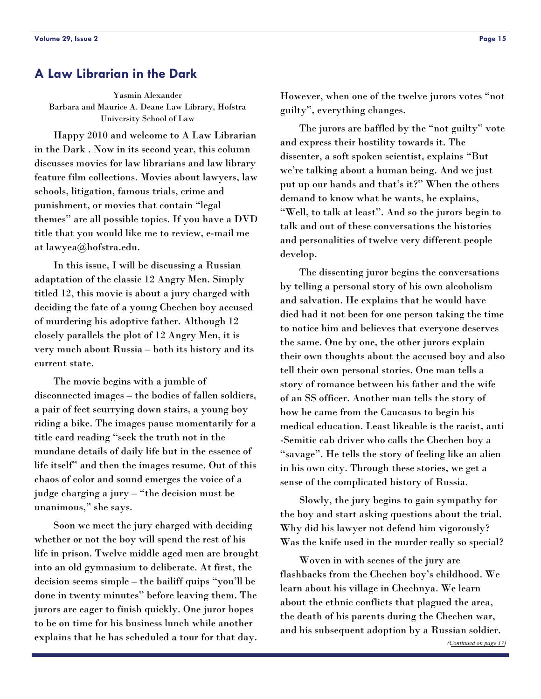#### <span id="page-14-0"></span>**A Law Librarian in the Dark**

Yasmin Alexander Barbara and Maurice A. Deane Law Library, Hofstra University School of Law

 Happy 2010 and welcome to A Law Librarian in the Dark . Now in its second year, this column discusses movies for law librarians and law library feature film collections. Movies about lawyers, law schools, litigation, famous trials, crime and punishment, or movies that contain "legal themes" are all possible topics. If you have a DVD title that you would like me to review, e-mail me at lawyea@hofstra.edu.

 In this issue, I will be discussing a Russian adaptation of the classic 12 Angry Men. Simply titled 12, this movie is about a jury charged with deciding the fate of a young Chechen boy accused of murdering his adoptive father. Although 12 closely parallels the plot of 12 Angry Men, it is very much about Russia – both its history and its current state.

 The movie begins with a jumble of disconnected images – the bodies of fallen soldiers, a pair of feet scurrying down stairs, a young boy riding a bike. The images pause momentarily for a title card reading "seek the truth not in the mundane details of daily life but in the essence of life itself" and then the images resume. Out of this chaos of color and sound emerges the voice of a judge charging a jury – "the decision must be unanimous," she says.

 Soon we meet the jury charged with deciding whether or not the boy will spend the rest of his life in prison. Twelve middle aged men are brought into an old gymnasium to deliberate. At first, the decision seems simple – the bailiff quips "you'll be done in twenty minutes" before leaving them. The jurors are eager to finish quickly. One juror hopes to be on time for his business lunch while another explains that he has scheduled a tour for that day.

However, when one of the twelve jurors votes "not guilty", everything changes.

 The jurors are baffled by the "not guilty" vote and express their hostility towards it. The dissenter, a soft spoken scientist, explains "But we're talking about a human being. And we just put up our hands and that's it?" When the others demand to know what he wants, he explains, "Well, to talk at least". And so the jurors begin to talk and out of these conversations the histories and personalities of twelve very different people develop.

 The dissenting juror begins the conversations by telling a personal story of his own alcoholism and salvation. He explains that he would have died had it not been for one person taking the time to notice him and believes that everyone deserves the same. One by one, the other jurors explain their own thoughts about the accused boy and also tell their own personal stories. One man tells a story of romance between his father and the wife of an SS officer. Another man tells the story of how he came from the Caucasus to begin his medical education. Least likeable is the racist, anti -Semitic cab driver who calls the Chechen boy a "savage". He tells the story of feeling like an alien in his own city. Through these stories, we get a sense of the complicated history of Russia.

 Slowly, the jury begins to gain sympathy for the boy and start asking questions about the trial. Why did his lawyer not defend him vigorously? Was the knife used in the murder really so special?

 Woven in with scenes of the jury are flashbacks from the Chechen boy's childhood. We learn about his village in Chechnya. We learn about the ethnic conflicts that plagued the area, the death of his parents during the Chechen war, and his subsequent adoption by a Russian soldier.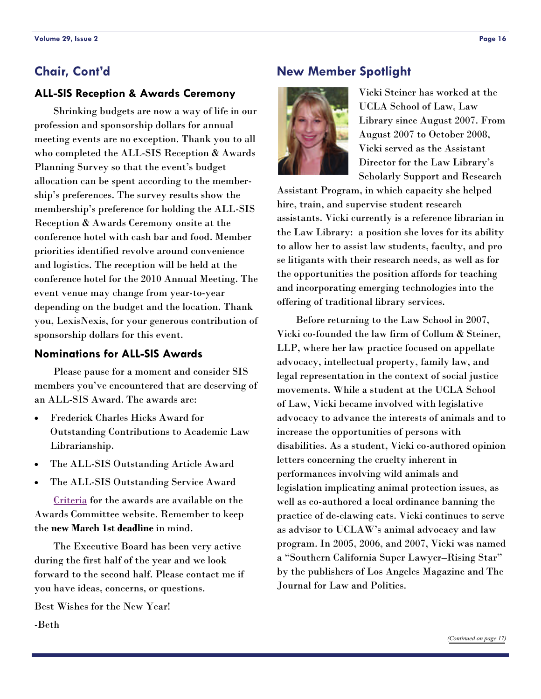# <span id="page-15-0"></span>**Chair, Cont'd**

#### **ALL-SIS Reception & Awards Ceremony**

 Shrinking budgets are now a way of life in our profession and sponsorship dollars for annual meeting events are no exception. Thank you to all who completed the ALL-SIS Reception & Awards Planning Survey so that the event's budget allocation can be spent according to the membership's preferences. The survey results show the membership's preference for holding the ALL-SIS Reception & Awards Ceremony onsite at the conference hotel with cash bar and food. Member priorities identified revolve around convenience and logistics. The reception will be held at the conference hotel for the 2010 Annual Meeting. The event venue may change from year-to-year depending on the budget and the location. Thank you, LexisNexis, for your generous contribution of sponsorship dollars for this event.

#### **Nominations for ALL-SIS Awards**

 Please pause for a moment and consider SIS members you've encountered that are deserving of an ALL-SIS Award. The awards are:

- Frederick Charles Hicks Award for Outstanding Contributions to Academic Law Librarianship.
- The ALL-SIS Outstanding Article Award
- The ALL-SIS Outstanding Service Award

[Criteria](http://www.aallnet.org/sis/allsis/awards/criteria.asp) for the awards are available on the Awards Committee website. Remember to keep the **new March 1st deadline** in mind.

 The Executive Board has been very active during the first half of the year and we look forward to the second half. Please contact me if you have ideas, concerns, or questions.

Best Wishes for the New Year!

-Beth

#### **New Member Spotlight**



Vicki Steiner has worked at the UCLA School of Law, Law Library since August 2007. From August 2007 to October 2008, Vicki served as the Assistant Director for the Law Library's Scholarly Support and Research

Assistant Program, in which capacity she helped hire, train, and supervise student research assistants. Vicki currently is a reference librarian in the Law Library: a position she loves for its ability to allow her to assist law students, faculty, and pro se litigants with their research needs, as well as for the opportunities the position affords for teaching and incorporating emerging technologies into the offering of traditional library services.

 Before returning to the Law School in 2007, Vicki co-founded the law firm of Collum & Steiner, LLP, where her law practice focused on appellate advocacy, intellectual property, family law, and legal representation in the context of social justice movements. While a student at the UCLA School of Law, Vicki became involved with legislative advocacy to advance the interests of animals and to increase the opportunities of persons with disabilities. As a student, Vicki co-authored opinion letters concerning the cruelty inherent in performances involving wild animals and legislation implicating animal protection issues, as well as co-authored a local ordinance banning the practice of de-clawing cats. Vicki continues to serve as advisor to UCLAW's animal advocacy and law program. In 2005, 2006, and 2007, Vicki was named a "Southern California Super Lawyer–Rising Star" by the publishers of Los Angeles Magazine and The Journal for Law and Politics.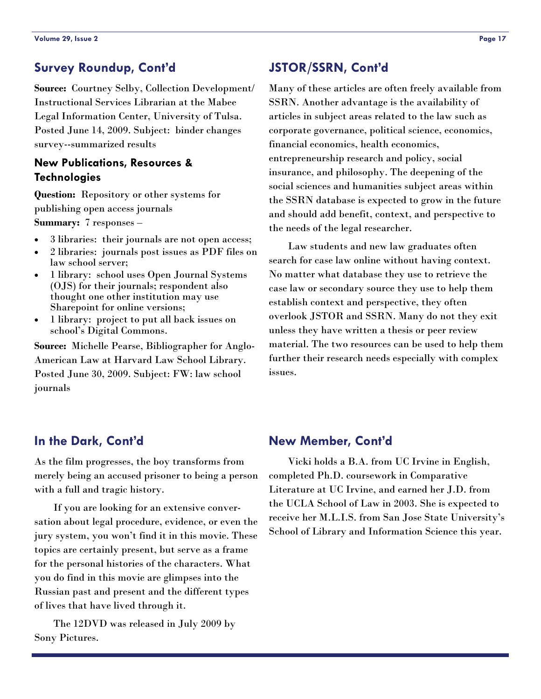# <span id="page-16-0"></span>**Survey Roundup, Cont'd**

**Source:** Courtney Selby, Collection Development/ Instructional Services Librarian at the Mabee Legal Information Center, University of Tulsa. Posted June 14, 2009. Subject: binder changes survey--summarized results

#### **New Publications, Resources & Technologies**

**Question:** Repository or other systems for publishing open access journals **Summary:** 7 responses –

- 3 libraries: their journals are not open access;
- 2 libraries: journals post issues as PDF files on law school server;
- 1 library: school uses Open Journal Systems (OJS) for their journals; respondent also thought one other institution may use Sharepoint for online versions;
- 1 library: project to put all back issues on school's Digital Commons.

**Source:** Michelle Pearse, Bibliographer for Anglo-American Law at Harvard Law School Library. Posted June 30, 2009. Subject: FW: law school journals

# **JSTOR/SSRN, Cont'd**

Many of these articles are often freely available from SSRN. Another advantage is the availability of articles in subject areas related to the law such as corporate governance, political science, economics, financial economics, health economics, entrepreneurship research and policy, social insurance, and philosophy. The deepening of the social sciences and humanities subject areas within the SSRN database is expected to grow in the future and should add benefit, context, and perspective to the needs of the legal researcher.

 Law students and new law graduates often search for case law online without having context. No matter what database they use to retrieve the case law or secondary source they use to help them establish context and perspective, they often overlook JSTOR and SSRN. Many do not they exit unless they have written a thesis or peer review material. The two resources can be used to help them further their research needs especially with complex issues.

# **In the Dark, Cont'd**

As the film progresses, the boy transforms from merely being an accused prisoner to being a person with a full and tragic history.

 If you are looking for an extensive conversation about legal procedure, evidence, or even the jury system, you won't find it in this movie. These topics are certainly present, but serve as a frame for the personal histories of the characters. What you do find in this movie are glimpses into the Russian past and present and the different types of lives that have lived through it.

 The 12DVD was released in July 2009 by Sony Pictures.

#### **New Member, Cont'd**

 Vicki holds a B.A. from UC Irvine in English, completed Ph.D. coursework in Comparative Literature at UC Irvine, and earned her J.D. from the UCLA School of Law in 2003. She is expected to receive her M.L.I.S. from San Jose State University's School of Library and Information Science this year.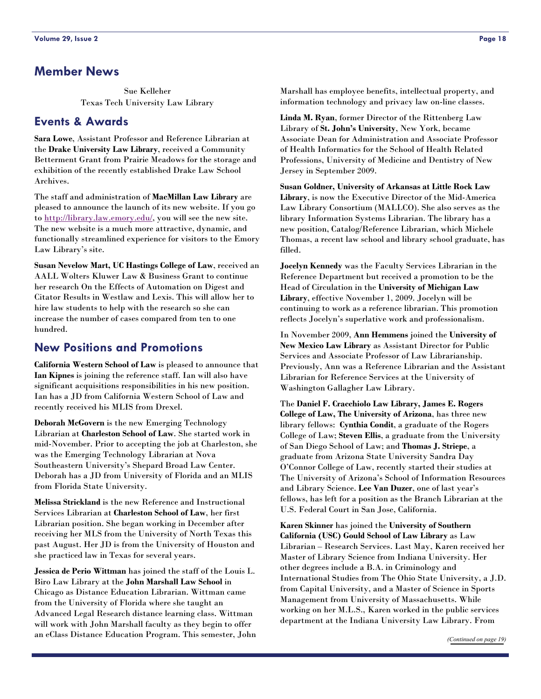#### <span id="page-17-0"></span>**Member News**

Sue Kelleher Texas Tech University Law Library

#### **Events & Awards**

**Sara Lowe**, Assistant Professor and Reference Librarian at the **Drake University Law Library**, received a Community Betterment Grant from Prairie Meadows for the storage and exhibition of the recently established Drake Law School Archives.

The staff and administration of **MacMillan Law Library** are pleased to announce the launch of its new website. If you go to<http://library.law.emory.edu/>, you will see the new site. The new website is a much more attractive, dynamic, and functionally streamlined experience for visitors to the Emory Law Library's site.

**Susan Nevelow Mart, UC Hastings College of Law**, received an AALL Wolters Kluwer Law & Business Grant to continue her research On the Effects of Automation on Digest and Citator Results in Westlaw and Lexis. This will allow her to hire law students to help with the research so she can increase the number of cases compared from ten to one hundred.

#### **New Positions and Promotions**

**California Western School of Law** is pleased to announce that **Ian Kipnes** is joining the reference staff. Ian will also have significant acquisitions responsibilities in his new position. Ian has a JD from California Western School of Law and recently received his MLIS from Drexel.

**Deborah McGovern** is the new Emerging Technology Librarian at **Charleston School of Law**. She started work in mid-November. Prior to accepting the job at Charleston, she was the Emerging Technology Librarian at Nova Southeastern University's Shepard Broad Law Center. Deborah has a JD from University of Florida and an MLIS from Florida State University.

**Melissa Strickland** is the new Reference and Instructional Services Librarian at **Charleston School of Law**, her first Librarian position. She began working in December after receiving her MLS from the University of North Texas this past August. Her JD is from the University of Houston and she practiced law in Texas for several years.

**Jessica de Perio Wittman** has joined the staff of the Louis L. Biro Law Library at the **John Marshall Law School** in Chicago as Distance Education Librarian. Wittman came from the University of Florida where she taught an Advanced Legal Research distance learning class. Wittman will work with John Marshall faculty as they begin to offer an eClass Distance Education Program. This semester, John Marshall has employee benefits, intellectual property, and information technology and privacy law on-line classes.

**Linda M. Ryan**, former Director of the Rittenberg Law Library of **St. John's University**, New York, became Associate Dean for Administration and Associate Professor of Health Informatics for the School of Health Related Professions, University of Medicine and Dentistry of New Jersey in September 2009.

**Susan Goldner, University of Arkansas at Little Rock Law Library**, is now the Executive Director of the Mid-America Law Library Consortium (MALLCO). She also serves as the library Information Systems Librarian. The library has a new position, Catalog/Reference Librarian, which Michele Thomas, a recent law school and library school graduate, has filled.

**Jocelyn Kennedy** was the Faculty Services Librarian in the Reference Department but received a promotion to be the Head of Circulation in the **University of Michigan Law Library**, effective November 1, 2009. Jocelyn will be continuing to work as a reference librarian. This promotion reflects Jocelyn's superlative work and professionalism.

In November 2009, **Ann Hemmens** joined the **University of New Mexico Law Library** as Assistant Director for Public Services and Associate Professor of Law Librarianship. Previously, Ann was a Reference Librarian and the Assistant Librarian for Reference Services at the University of Washington Gallagher Law Library.

The **Daniel F. Cracchiolo Law Library, James E. Rogers College of Law, The University of Arizona**, has three new library fellows: **Cynthia Condit**, a graduate of the Rogers College of Law; **Steven Ellis**, a graduate from the University of San Diego School of Law; and **Thomas J. Striepe**, a graduate from Arizona State University Sandra Day O'Connor College of Law, recently started their studies at The University of Arizona's School of Information Resources and Library Science. **Lee Van Duzer**, one of last year's fellows, has left for a position as the Branch Librarian at the U.S. Federal Court in San Jose, California.

**Karen Skinner** has joined the **University of Southern California (USC) Gould School of Law Library** as Law Librarian – Research Services. Last May, Karen received her Master of Library Science from Indiana University. Her other degrees include a B.A. in Criminology and International Studies from The Ohio State University, a J.D. from Capital University, and a Master of Science in Sports Management from University of Massachusetts. While working on her M.L.S., Karen worked in the public services department at the Indiana University Law Library. From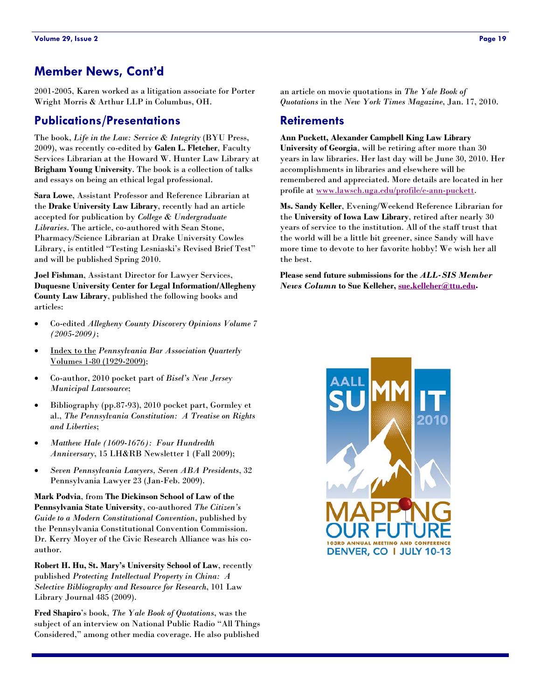# **Member News, Cont'd**

2001-2005, Karen worked as a litigation associate for Porter Wright Morris & Arthur LLP in Columbus, OH.

#### **Publications/Presentations**

The book, *Life in the Law: Service & Integrity* (BYU Press, 2009), was recently co-edited by **Galen L. Fletcher**, Faculty Services Librarian at the Howard W. Hunter Law Library at **Brigham Young University**. The book is a collection of talks and essays on being an ethical legal professional.

**Sara Lowe**, Assistant Professor and Reference Librarian at the **Drake University Law Library**, recently had an article accepted for publication by *College & Undergraduate Libraries*. The article, co-authored with Sean Stone, Pharmacy/Science Librarian at Drake University Cowles Library, is entitled "Testing Lesniaski's Revised Brief Test" and will be published Spring 2010.

**Joel Fishman**, Assistant Director for Lawyer Services, **Duquesne University Center for Legal Information/Allegheny County Law Library**, published the following books and articles:

- Co-edited *Allegheny County Discovery Opinions Volume 7 (2005-2009)*;
- Index to the *Pennsylvania Bar Association Quarterly* Volumes 1-80 (1929-2009);
- Co-author, 2010 pocket part of *Bisel's New Jersey Municipal Lawsource*;
- Bibliography (pp.87-93), 2010 pocket part, Gormley et al., *The Pennsylvania Constitution: A Treatise on Rights and Liberties*;
- *Matthew Hale (1609-1676): Four Hundredth Anniversary*, 15 LH&RB Newsletter 1 (Fall 2009);
- *Seven Pennsylvania Lawyers, Seven ABA Presidents*, 32 Pennsylvania Lawyer 23 (Jan-Feb. 2009).

**Mark Podvia**, from **The Dickinson School of Law of the Pennsylvania State University**, co-authored *The Citizen's Guide to a Modern Constitutional Convention*, published by the Pennsylvania Constitutional Convention Commission. Dr. Kerry Moyer of the Civic Research Alliance was his coauthor.

**Robert H. Hu, St. Mary's University School of Law**, recently published *Protecting Intellectual Property in China: A Selective Bibliography and Resource for Research*, 101 Law Library Journal 485 (2009).

**Fred Shapiro**'s book, *The Yale Book of Quotations*, was the subject of an interview on National Public Radio "All Things Considered," among other media coverage. He also published an article on movie quotations in *The Yale Book of Quotations* in the *New York Times Magazine*, Jan. 17, 2010.

#### **Retirements**

**Ann Puckett, Alexander Campbell King Law Library University of Georgia**, will be retiring after more than 30 years in law libraries. Her last day will be June 30, 2010. Her accomplishments in libraries and elsewhere will be remembered and appreciated. More details are located in her profile at www.lawsch.uga.edu/profile/e-ann-puckett.

**Ms. Sandy Keller**, Evening/Weekend Reference Librarian for the **University of Iowa Law Library**, retired after nearly 30 years of service to the institution. All of the staff trust that the world will be a little bit greener, since Sandy will have more time to devote to her favorite hobby! We wish her all the best.

**Please send future submissions for the** *ALL-SIS Member News Column* **to Sue Kelleher, sue.kelleher@ttu.edu.**